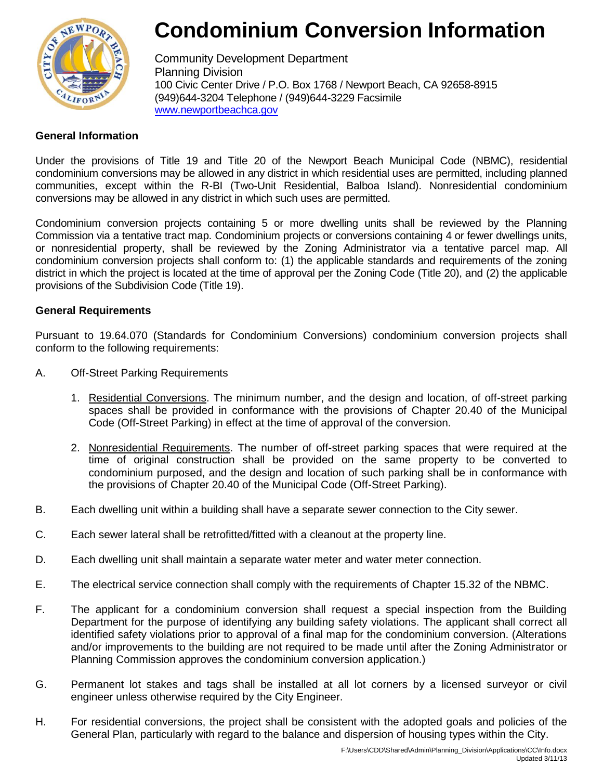

# **Condominium Conversion Information**

Community Development Department Planning Division 100 Civic Center Drive / P.O. Box 1768 / Newport Beach, CA 92658-8915 (949)644-3204 Telephone / (949)644-3229 Facsimile www.newportbeachca.gov

### **General Information**

Under the provisions of Title 19 and Title 20 of the Newport Beach Municipal Code (NBMC), residential condominium conversions may be allowed in any district in which residential uses are permitted, including planned communities, except within the R-BI (Two-Unit Residential, Balboa Island). Nonresidential condominium conversions may be allowed in any district in which such uses are permitted.

Condominium conversion projects containing 5 or more dwelling units shall be reviewed by the Planning Commission via a tentative tract map. Condominium projects or conversions containing 4 or fewer dwellings units, or nonresidential property, shall be reviewed by the Zoning Administrator via a tentative parcel map. All condominium conversion projects shall conform to: (1) the applicable standards and requirements of the zoning district in which the project is located at the time of approval per the Zoning Code (Title 20), and (2) the applicable provisions of the Subdivision Code (Title 19).

### **General Requirements**

Pursuant to 19.64.070 (Standards for Condominium Conversions) condominium conversion projects shall conform to the following requirements:

- A. Off-Street Parking Requirements
	- 1. Residential Conversions. The minimum number, and the design and location, of off-street parking spaces shall be provided in conformance with the provisions of Chapter 20.40 of the Municipal Code (Off-Street Parking) in effect at the time of approval of the conversion.
	- 2. Nonresidential Requirements. The number of off-street parking spaces that were required at the time of original construction shall be provided on the same property to be converted to condominium purposed, and the design and location of such parking shall be in conformance with the provisions of Chapter 20.40 of the Municipal Code (Off-Street Parking).
- B. Each dwelling unit within a building shall have a separate sewer connection to the City sewer.
- C. Each sewer lateral shall be retrofitted/fitted with a cleanout at the property line.
- D. Each dwelling unit shall maintain a separate water meter and water meter connection.
- E. The electrical service connection shall comply with the requirements of Chapter 15.32 of the NBMC.
- F. The applicant for a condominium conversion shall request a special inspection from the Building Department for the purpose of identifying any building safety violations. The applicant shall correct all identified safety violations prior to approval of a final map for the condominium conversion. (Alterations and/or improvements to the building are not required to be made until after the Zoning Administrator or Planning Commission approves the condominium conversion application.)
- G. Permanent lot stakes and tags shall be installed at all lot corners by a licensed surveyor or civil engineer unless otherwise required by the City Engineer.
- H. For residential conversions, the project shall be consistent with the adopted goals and policies of the General Plan, particularly with regard to the balance and dispersion of housing types within the City.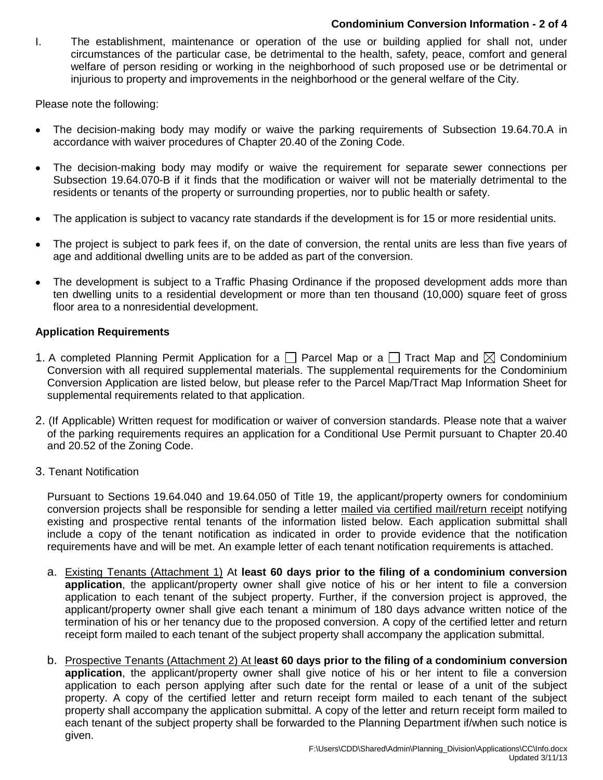#### **Condominium Conversion Information - 2 of 4**

I. The establishment, maintenance or operation of the use or building applied for shall not, under circumstances of the particular case, be detrimental to the health, safety, peace, comfort and general welfare of person residing or working in the neighborhood of such proposed use or be detrimental or injurious to property and improvements in the neighborhood or the general welfare of the City.

Please note the following:

- The decision-making body may modify or waive the parking requirements of Subsection 19.64.70.A in  $\bullet$ accordance with waiver procedures of Chapter 20.40 of the Zoning Code.
- The decision-making body may modify or waive the requirement for separate sewer connections per  $\bullet$ Subsection 19.64.070-B if it finds that the modification or waiver will not be materially detrimental to the residents or tenants of the property or surrounding properties, nor to public health or safety.
- The application is subject to vacancy rate standards if the development is for 15 or more residential units.  $\bullet$
- The project is subject to park fees if, on the date of conversion, the rental units are less than five years of age and additional dwelling units are to be added as part of the conversion.
- The development is subject to a Traffic Phasing Ordinance if the proposed development adds more than ten dwelling units to a residential development or more than ten thousand (10,000) square feet of gross floor area to a nonresidential development.

### **Application Requirements**

- 1. A completed Planning Permit Application for a  $\square$  Parcel Map or a  $\square$  Tract Map and  $\boxtimes$  Condominium Conversion with all required supplemental materials. The supplemental requirements for the Condominium Conversion Application are listed below, but please refer to the Parcel Map/Tract Map Information Sheet for supplemental requirements related to that application.
- 2. (If Applicable) Written request for modification or waiver of conversion standards. Please note that a waiver of the parking requirements requires an application for a Conditional Use Permit pursuant to Chapter 20.40 and 20.52 of the Zoning Code.
- 3. Tenant Notification

Pursuant to Sections 19.64.040 and 19.64.050 of Title 19, the applicant/property owners for condominium conversion projects shall be responsible for sending a letter mailed via certified mail/return receipt notifying existing and prospective rental tenants of the information listed below. Each application submittal shall include a copy of the tenant notification as indicated in order to provide evidence that the notification requirements have and will be met. An example letter of each tenant notification requirements is attached.

- a. Existing Tenants (Attachment 1) At **least 60 days prior to the filing of a condominium conversion application**, the applicant/property owner shall give notice of his or her intent to file a conversion application to each tenant of the subject property. Further, if the conversion project is approved, the applicant/property owner shall give each tenant a minimum of 180 days advance written notice of the termination of his or her tenancy due to the proposed conversion. A copy of the certified letter and return receipt form mailed to each tenant of the subject property shall accompany the application submittal.
- b. Prospective Tenants (Attachment 2) At l**east 60 days prior to the filing of a condominium conversion application**, the applicant/property owner shall give notice of his or her intent to file a conversion application to each person applying after such date for the rental or lease of a unit of the subject property. A copy of the certified letter and return receipt form mailed to each tenant of the subject property shall accompany the application submittal. A copy of the letter and return receipt form mailed to each tenant of the subject property shall be forwarded to the Planning Department if/when such notice is given.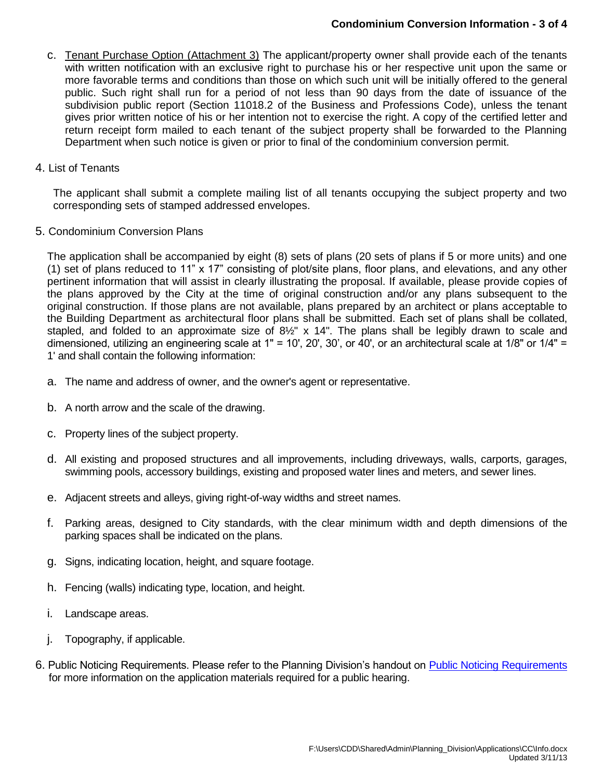- c. Tenant Purchase Option (Attachment 3) The applicant/property owner shall provide each of the tenants with written notification with an exclusive right to purchase his or her respective unit upon the same or more favorable terms and conditions than those on which such unit will be initially offered to the general public. Such right shall run for a period of not less than 90 days from the date of issuance of the subdivision public report (Section 11018.2 of the Business and Professions Code), unless the tenant gives prior written notice of his or her intention not to exercise the right. A copy of the certified letter and return receipt form mailed to each tenant of the subject property shall be forwarded to the Planning Department when such notice is given or prior to final of the condominium conversion permit.
- 4. List of Tenants

The applicant shall submit a complete mailing list of all tenants occupying the subject property and two corresponding sets of stamped addressed envelopes.

5. Condominium Conversion Plans

The application shall be accompanied by eight (8) sets of plans (20 sets of plans if 5 or more units) and one (1) set of plans reduced to 11" x 17" consisting of plot/site plans, floor plans, and elevations, and any other pertinent information that will assist in clearly illustrating the proposal. If available, please provide copies of the plans approved by the City at the time of original construction and/or any plans subsequent to the original construction. If those plans are not available, plans prepared by an architect or plans acceptable to the Building Department as architectural floor plans shall be submitted. Each set of plans shall be collated, stapled, and folded to an approximate size of 8½" x 14". The plans shall be legibly drawn to scale and dimensioned, utilizing an engineering scale at 1" = 10', 20', 30', or 40', or an architectural scale at 1/8" or 1/4" = 1' and shall contain the following information:

- a. The name and address of owner, and the owner's agent or representative.
- b. A north arrow and the scale of the drawing.
- c. Property lines of the subject property.
- d. All existing and proposed structures and all improvements, including driveways, walls, carports, garages, swimming pools, accessory buildings, existing and proposed water lines and meters, and sewer lines.
- e. Adjacent streets and alleys, giving right-of-way widths and street names.
- f. Parking areas, designed to City standards, with the clear minimum width and depth dimensions of the parking spaces shall be indicated on the plans.
- g. Signs, indicating location, height, and square footage.
- h. Fencing (walls) indicating type, location, and height.
- i. Landscape areas.
- j. Topography, if applicable.
- 6. Public Noticing Requirements. Please refer to the Planning Division's handout on [Public Noticing Requirements](http://www.newportbeachca.gov/Modules/ShowDocument.aspx?documentid=10041) for more information on the application materials required for a public hearing.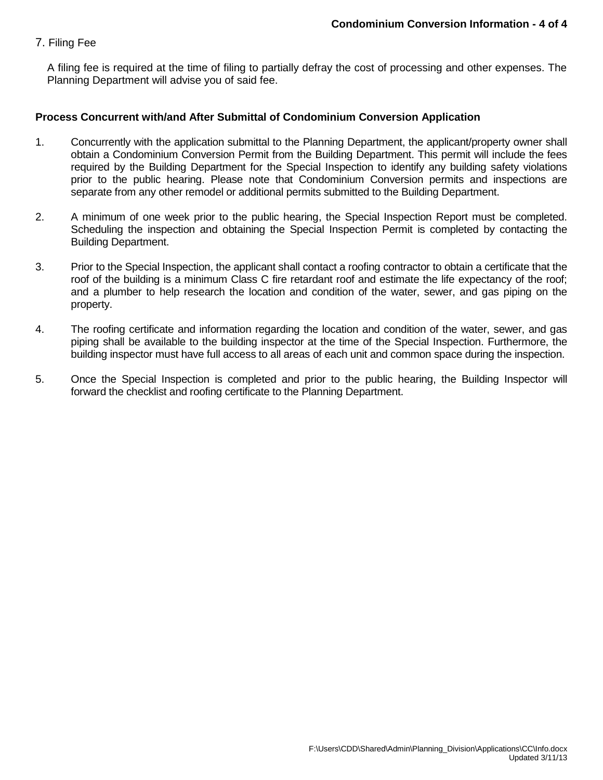#### 7. Filing Fee

A filing fee is required at the time of filing to partially defray the cost of processing and other expenses. The Planning Department will advise you of said fee.

#### **Process Concurrent with/and After Submittal of Condominium Conversion Application**

- 1. Concurrently with the application submittal to the Planning Department, the applicant/property owner shall obtain a Condominium Conversion Permit from the Building Department. This permit will include the fees required by the Building Department for the Special Inspection to identify any building safety violations prior to the public hearing. Please note that Condominium Conversion permits and inspections are separate from any other remodel or additional permits submitted to the Building Department.
- 2. A minimum of one week prior to the public hearing, the Special Inspection Report must be completed. Scheduling the inspection and obtaining the Special Inspection Permit is completed by contacting the Building Department.
- 3. Prior to the Special Inspection, the applicant shall contact a roofing contractor to obtain a certificate that the roof of the building is a minimum Class C fire retardant roof and estimate the life expectancy of the roof; and a plumber to help research the location and condition of the water, sewer, and gas piping on the property.
- 4. The roofing certificate and information regarding the location and condition of the water, sewer, and gas piping shall be available to the building inspector at the time of the Special Inspection. Furthermore, the building inspector must have full access to all areas of each unit and common space during the inspection.
- 5. Once the Special Inspection is completed and prior to the public hearing, the Building Inspector will forward the checklist and roofing certificate to the Planning Department.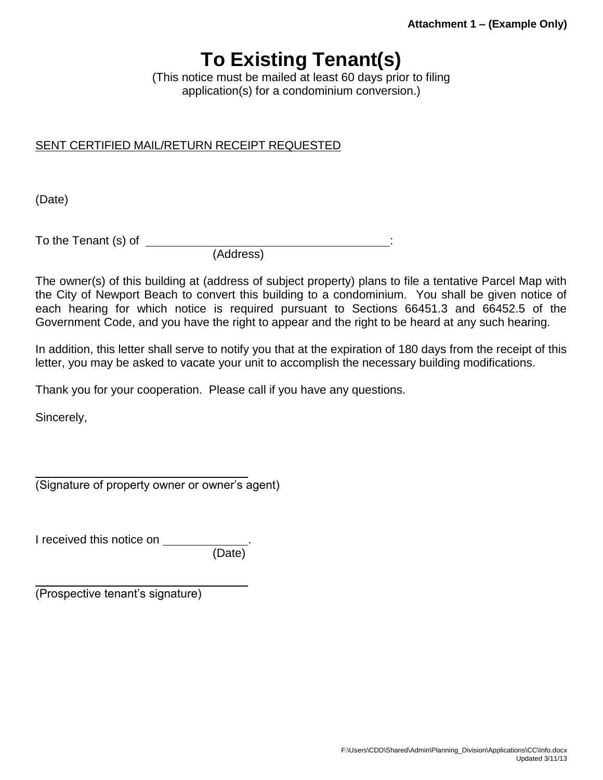## **To Existing Tenant(s)**

(This notice must be mailed at least 60 days prior to filing application(s) for a condominium conversion.)

### SENT CERTIFIED MAIL/RETURN RECEIPT REQUESTED

(Date)

To the Tenant (s) of :

(Address)

The owner(s) of this building at (address of subject property) plans to file a tentative Parcel Map with the City of Newport Beach to convert this building to a condominium. You shall be given notice of each hearing for which notice is required pursuant to Sections 66451.3 and 66452.5 of the Government Code, and you have the right to appear and the right to be heard at any such hearing.

In addition, this letter shall serve to notify you that at the expiration of 180 days from the receipt of this letter, you may be asked to vacate your unit to accomplish the necessary building modifications.

Thank you for your cooperation. Please call if you have any questions.

Sincerely,

I received this notice on .

(Date)

(Prospective tenant's signature)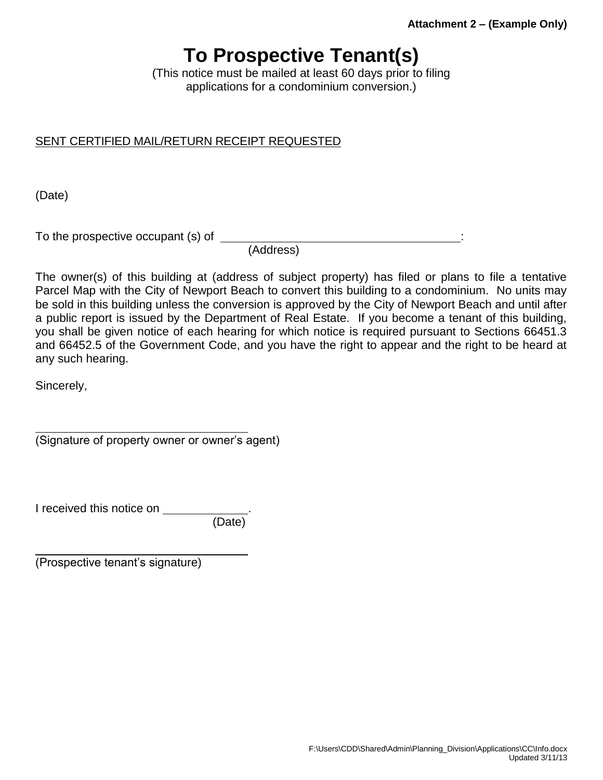## **To Prospective Tenant(s)**

(This notice must be mailed at least 60 days prior to filing applications for a condominium conversion.)

### SENT CERTIFIED MAIL/RETURN RECEIPT REQUESTED

(Date)

To the prospective occupant (s) of  $\sqrt{a}$  is the set of the prospective occupant (s) of  $\sqrt{a}$  is the set of the set of the set of the set of the set of the set of the set of the set of the set of the set of the set of t

(Address)

The owner(s) of this building at (address of subject property) has filed or plans to file a tentative Parcel Map with the City of Newport Beach to convert this building to a condominium. No units may be sold in this building unless the conversion is approved by the City of Newport Beach and until after a public report is issued by the Department of Real Estate. If you become a tenant of this building, you shall be given notice of each hearing for which notice is required pursuant to Sections 66451.3 and 66452.5 of the Government Code, and you have the right to appear and the right to be heard at any such hearing.

Sincerely,

(Signature of property owner or owner's agent)

I received this notice on \_\_\_\_\_

(Date)

(Prospective tenant's signature)